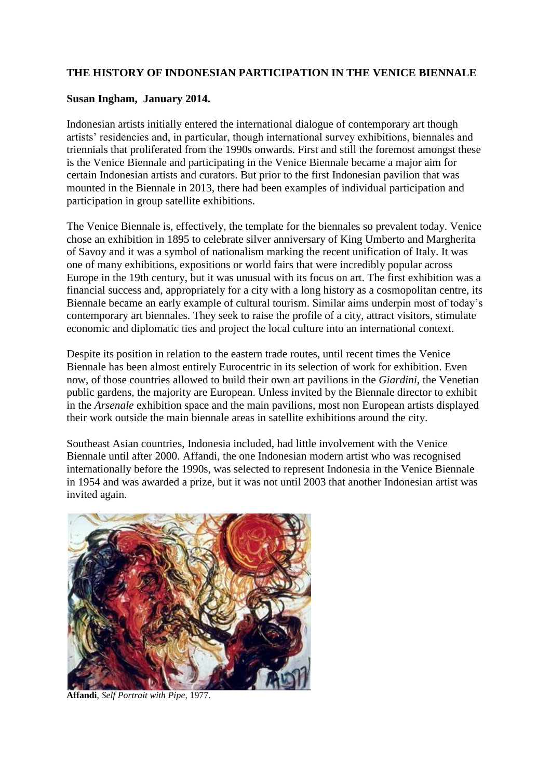## **THE HISTORY OF INDONESIAN PARTICIPATION IN THE VENICE BIENNALE**

## **Susan Ingham, January 2014.**

Indonesian artists initially entered the international dialogue of contemporary art though artists' residencies and, in particular, though international survey exhibitions, biennales and triennials that proliferated from the 1990s onwards. First and still the foremost amongst these is the Venice Biennale and participating in the Venice Biennale became a major aim for certain Indonesian artists and curators. But prior to the first Indonesian pavilion that was mounted in the Biennale in 2013, there had been examples of individual participation and participation in group satellite exhibitions.

The Venice Biennale is, effectively, the template for the biennales so prevalent today. Venice chose an exhibition in 1895 to celebrate silver anniversary of King Umberto and Margherita of Savoy and it was a symbol of nationalism marking the recent unification of Italy. It was one of many exhibitions, expositions or world fairs that were incredibly popular across Europe in the 19th century, but it was unusual with its focus on art. The first exhibition was a financial success and, appropriately for a city with a long history as a cosmopolitan centre, its Biennale became an early example of cultural tourism. Similar aims underpin most of today's contemporary art biennales. They seek to raise the profile of a city, attract visitors, stimulate economic and diplomatic ties and project the local culture into an international context.

Despite its position in relation to the eastern trade routes, until recent times the Venice Biennale has been almost entirely Eurocentric in its selection of work for exhibition. Even now, of those countries allowed to build their own art pavilions in the *Giardini*, the Venetian public gardens, the majority are European. Unless invited by the Biennale director to exhibit in the *Arsenale* exhibition space and the main pavilions, most non European artists displayed their work outside the main biennale areas in satellite exhibitions around the city.

Southeast Asian countries, Indonesia included, had little involvement with the Venice Biennale until after 2000. Affandi, the one Indonesian modern artist who was recognised internationally before the 1990s, was selected to represent Indonesia in the Venice Biennale in 1954 and was awarded a prize, but it was not until 2003 that another Indonesian artist was invited again.



**Affandi**, *Self Portrait with Pipe*, 1977.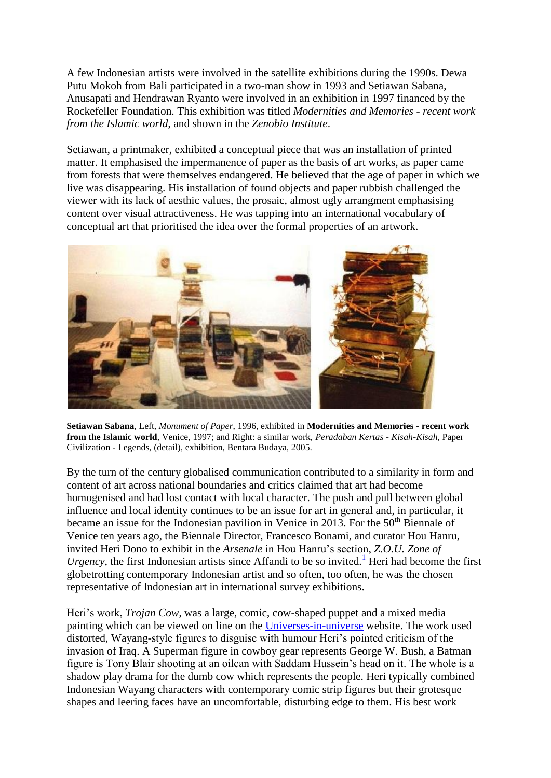A few Indonesian artists were involved in the satellite exhibitions during the 1990s. Dewa Putu Mokoh from Bali participated in a two-man show in 1993 and Setiawan Sabana, Anusapati and Hendrawan Ryanto were involved in an exhibition in 1997 financed by the Rockefeller Foundation. This exhibition was titled *Modernities and Memories - recent work from the Islamic world*, and shown in the *Zenobio Institute*.

Setiawan, a printmaker, exhibited a conceptual piece that was an installation of printed matter. It emphasised the impermanence of paper as the basis of art works, as paper came from forests that were themselves endangered. He believed that the age of paper in which we live was disappearing. His installation of found objects and paper rubbish challenged the viewer with its lack of aesthic values, the prosaic, almost ugly arrangment emphasising content over visual attractiveness. He was tapping into an international vocabulary of conceptual art that prioritised the idea over the formal properties of an artwork.



**Setiawan Sabana**, Left, *Monument of Paper*, 1996, exhibited in **Modernities and Memories - recent work from the Islamic world**, Venice, 1997; and Right: a similar work, *Peradaban Kertas - Kisah-Kisah,* Paper Civilization - Legends, (detail), exhibition, Bentara Budaya, 2005.

By the turn of the century globalised communication contributed to a similarity in form and content of art across national boundaries and critics claimed that art had become homogenised and had lost contact with local character. The push and pull between global influence and local identity continues to be an issue for art in general and, in particular, it became an issue for the Indonesian pavilion in Venice in 2013. For the  $50<sup>th</sup>$  Biennale of Venice ten years ago, the Biennale Director, Francesco Bonami, and curator Hou Hanru, invited Heri Dono to exhibit in the *Arsenale* in Hou Hanru's section, *Z.O.U. Zone of Urgency*, the first Indonesian artists since Affandi to be so invited.<sup>[1](file:///C:/SuesFolder/WEBPAGE/THE%20WEBSITE%20-%20Copy/pages/whats_new_140510.html%23footnote_a1)</sup> Heri had become the first globetrotting contemporary Indonesian artist and so often, too often, he was the chosen representative of Indonesian art in international survey exhibitions.

Heri's work, *Trojan Cow*, was a large, comic, cow-shaped puppet and a mixed media painting which can be viewed on line on the [Universes-in-universe](http://universes-in-universe.de/car/venezia/bien50/zou/e-dono.htm) website. The work used distorted, Wayang-style figures to disguise with humour Heri's pointed criticism of the invasion of Iraq. A Superman figure in cowboy gear represents George W. Bush, a Batman figure is Tony Blair shooting at an oilcan with Saddam Hussein's head on it. The whole is a shadow play drama for the dumb cow which represents the people. Heri typically combined Indonesian Wayang characters with contemporary comic strip figures but their grotesque shapes and leering faces have an uncomfortable, disturbing edge to them. His best work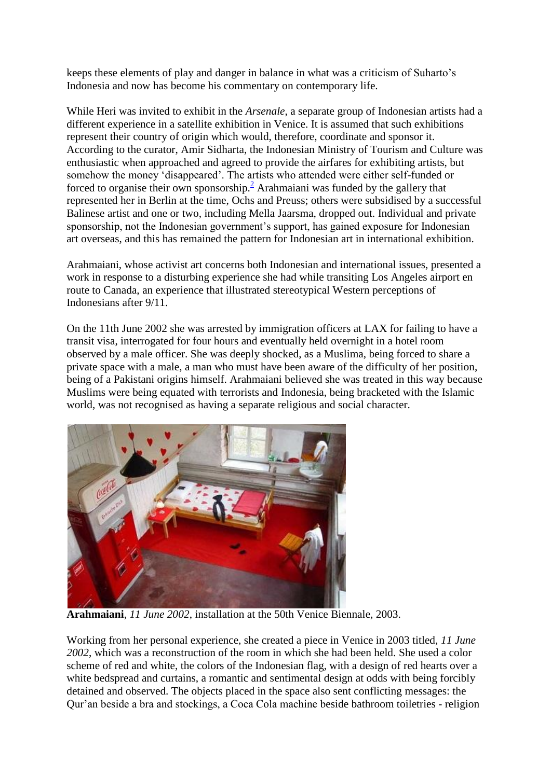keeps these elements of play and danger in balance in what was a criticism of Suharto's Indonesia and now has become his commentary on contemporary life.

While Heri was invited to exhibit in the *Arsenale*, a separate group of Indonesian artists had a different experience in a satellite exhibition in Venice. It is assumed that such exhibitions represent their country of origin which would, therefore, coordinate and sponsor it. According to the curator, Amir Sidharta, the Indonesian Ministry of Tourism and Culture was enthusiastic when approached and agreed to provide the airfares for exhibiting artists, but somehow the money 'disappeared'. The artists who attended were either self-funded or forced to organise their own sponsorship[.](file:///C:/SuesFolder/WEBPAGE/THE%20WEBSITE%20-%20Copy/pages/whats_new_140510.html%23footnote_a2)<sup>2</sup> Arahmaiani was funded by the gallery that represented her in Berlin at the time, Ochs and Preuss; others were subsidised by a successful Balinese artist and one or two, including Mella Jaarsma, dropped out. Individual and private sponsorship, not the Indonesian government's support, has gained exposure for Indonesian art overseas, and this has remained the pattern for Indonesian art in international exhibition.

Arahmaiani, whose activist art concerns both Indonesian and international issues, presented a work in response to a disturbing experience she had while transiting Los Angeles airport en route to Canada, an experience that illustrated stereotypical Western perceptions of Indonesians after 9/11.

On the 11th June 2002 she was arrested by immigration officers at LAX for failing to have a transit visa, interrogated for four hours and eventually held overnight in a hotel room observed by a male officer. She was deeply shocked, as a Muslima, being forced to share a private space with a male, a man who must have been aware of the difficulty of her position, being of a Pakistani origins himself. Arahmaiani believed she was treated in this way because Muslims were being equated with terrorists and Indonesia, being bracketed with the Islamic world, was not recognised as having a separate religious and social character.



**Arahmaiani**, *11 June 2002*, installation at the 50th Venice Biennale, 2003.

Working from her personal experience, she created a piece in Venice in 2003 titled, *11 June 2002*, which was a reconstruction of the room in which she had been held. She used a color scheme of red and white, the colors of the Indonesian flag, with a design of red hearts over a white bedspread and curtains, a romantic and sentimental design at odds with being forcibly detained and observed. The objects placed in the space also sent conflicting messages: the Qur'an beside a bra and stockings, a Coca Cola machine beside bathroom toiletries - religion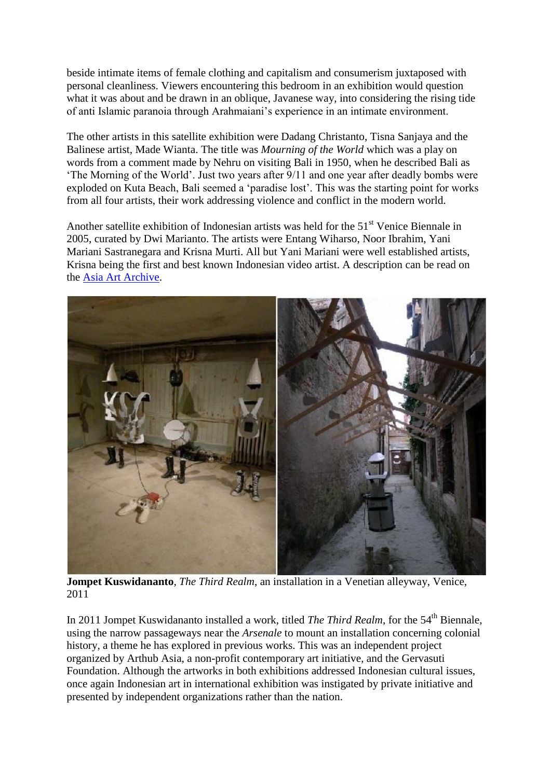beside intimate items of female clothing and capitalism and consumerism juxtaposed with personal cleanliness. Viewers encountering this bedroom in an exhibition would question what it was about and be drawn in an oblique. Javanese way, into considering the rising tide of anti Islamic paranoia through Arahmaiani's experience in an intimate environment.

The other artists in this satellite exhibition were Dadang Christanto, Tisna Sanjaya and the Balinese artist, Made Wianta. The title was *Mourning of the World* which was a play on words from a comment made by Nehru on visiting Bali in 1950, when he described Bali as 'The Morning of the World'. Just two years after 9/11 and one year after deadly bombs were exploded on Kuta Beach, Bali seemed a 'paradise lost'. This was the starting point for works from all four artists, their work addressing violence and conflict in the modern world.

Another satellite exhibition of Indonesian artists was held for the 51<sup>st</sup> Venice Biennale in 2005, curated by Dwi Marianto. The artists were Entang Wiharso, Noor Ibrahim, Yani Mariani Sastranegara and Krisna Murti. All but Yani Mariani were well established artists, Krisna being the first and best known Indonesian video artist. A description can be read on the [Asia Art Archive.](http://www.aaa.org.hk/WorldEvents/Details/3857)



**Jompet Kuswidananto**, *The Third Realm*, an installation in a Venetian alleyway, Venice, 2011

In 2011 Jompet Kuswidananto installed a work, titled *The Third Realm*, for the 54<sup>th</sup> Biennale, using the narrow passageways near the *Arsenale* to mount an installation concerning colonial history, a theme he has explored in previous works. This was an independent project organized by Arthub Asia, a non-profit contemporary art initiative, and the Gervasuti Foundation. Although the artworks in both exhibitions addressed Indonesian cultural issues, once again Indonesian art in international exhibition was instigated by private initiative and presented by independent organizations rather than the nation.